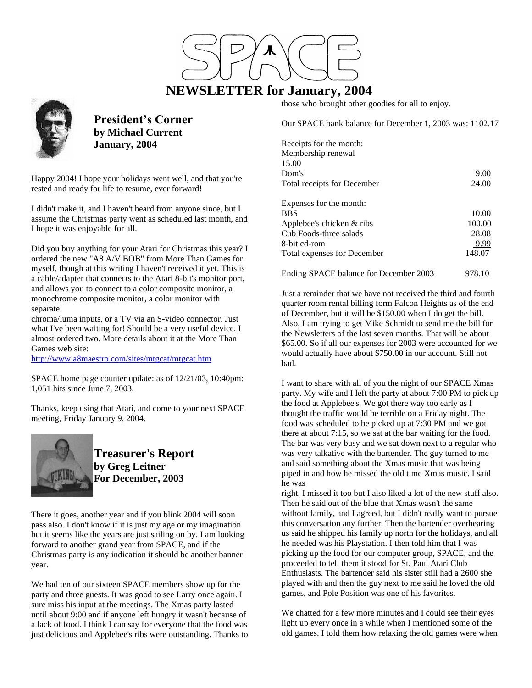# **NEWSLETTER for January, 2004**

those who brought other goodies for all to enjoy.

Our SPACE bank balance for December 1, 2003 was: 1102.17

| Receipts for the month:                |        |
|----------------------------------------|--------|
| Membership renewal                     |        |
| 15.00                                  |        |
| Dom's                                  | 9.00   |
| Total receipts for December            | 24.00  |
| Expenses for the month:                |        |
| <b>BBS</b>                             | 10.00  |
| Applebee's chicken $&$ ribs            | 100.00 |
| Cub Foods-three salads                 | 28.08  |
| 8-bit cd-rom                           | 9.99   |
| <b>Total expenses for December</b>     | 148.07 |
| Ending SPACE balance for December 2003 | 978.10 |

Just a reminder that we have not received the third and fourth quarter room rental billing form Falcon Heights as of the end of December, but it will be \$150.00 when I do get the bill. Also, I am trying to get Mike Schmidt to send me the bill for the Newsletters of the last seven months. That will be about \$65.00. So if all our expenses for 2003 were accounted for we would actually have about \$750.00 in our account. Still not bad.

I want to share with all of you the night of our SPACE Xmas party. My wife and I left the party at about 7:00 PM to pick up the food at Applebee's. We got there way too early as I thought the traffic would be terrible on a Friday night. The food was scheduled to be picked up at 7:30 PM and we got there at about 7:15, so we sat at the bar waiting for the food. The bar was very busy and we sat down next to a regular who was very talkative with the bartender. The guy turned to me and said something about the Xmas music that was being piped in and how he missed the old time Xmas music. I said he was

right, I missed it too but I also liked a lot of the new stuff also. Then he said out of the blue that Xmas wasn't the same without family, and I agreed, but I didn't really want to pursue this conversation any further. Then the bartender overhearing us said he shipped his family up north for the holidays, and all he needed was his Playstation. I then told him that I was picking up the food for our computer group, SPACE, and the proceeded to tell them it stood for St. Paul Atari Club Enthusiasts. The bartender said his sister still had a 2600 she played with and then the guy next to me said he loved the old games, and Pole Position was one of his favorites.

We chatted for a few more minutes and I could see their eyes light up every once in a while when I mentioned some of the old games. I told them how relaxing the old games were when



**President's Corner by Michael Current January, 2004**

Happy 2004! I hope your holidays went well, and that you're rested and ready for life to resume, ever forward!

I didn't make it, and I haven't heard from anyone since, but I assume the Christmas party went as scheduled last month, and I hope it was enjoyable for all.

Did you buy anything for your Atari for Christmas this year? I ordered the new "A8 A/V BOB" from More Than Games for myself, though at this writing I haven't received it yet. This is a cable/adapter that connects to the Atari 8-bit's monitor port, and allows you to connect to a color composite monitor, a monochrome composite monitor, a color monitor with separate

chroma/luma inputs, or a TV via an S-video connector. Just what I've been waiting for! Should be a very useful device. I almost ordered two. More details about it at the More Than Games web site:

<http://www.a8maestro.com/sites/mtgcat/mtgcat.htm>

SPACE home page counter update: as of 12/21/03, 10:40pm: 1,051 hits since June 7, 2003.

Thanks, keep using that Atari, and come to your next SPACE meeting, Friday January 9, 2004.



**Treasurer's Report by Greg Leitner For December, 2003**

There it goes, another year and if you blink 2004 will soon pass also. I don't know if it is just my age or my imagination but it seems like the years are just sailing on by. I am looking forward to another grand year from SPACE, and if the Christmas party is any indication it should be another banner year.

We had ten of our sixteen SPACE members show up for the party and three guests. It was good to see Larry once again. I sure miss his input at the meetings. The Xmas party lasted until about 9:00 and if anyone left hungry it wasn't because of a lack of food. I think I can say for everyone that the food was just delicious and Applebee's ribs were outstanding. Thanks to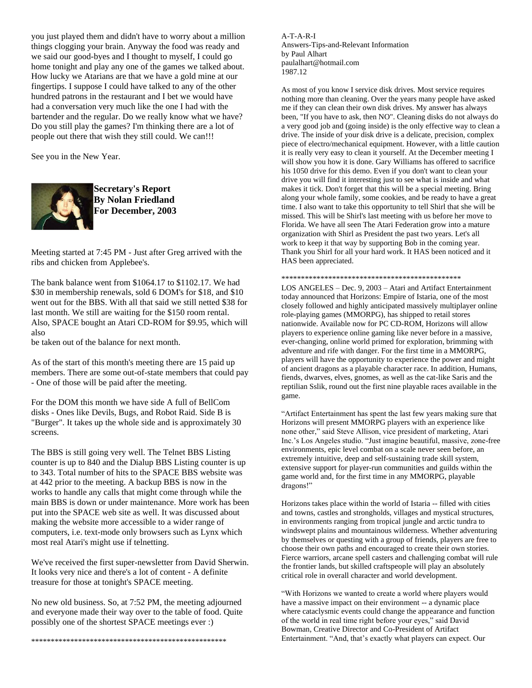you just played them and didn't have to worry about a million things clogging your brain. Anyway the food was ready and we said our good-byes and I thought to myself, I could go home tonight and play any one of the games we talked about. How lucky we Atarians are that we have a gold mine at our fingertips. I suppose I could have talked to any of the other hundred patrons in the restaurant and I bet we would have had a conversation very much like the one I had with the bartender and the regular. Do we really know what we have? Do you still play the games? I'm thinking there are a lot of people out there that wish they still could. We can!!!

See you in the New Year.



**Secretary's Report By Nolan Friedland For December, 2003**

Meeting started at 7:45 PM - Just after Greg arrived with the ribs and chicken from Applebee's.

The bank balance went from \$1064.17 to \$1102.17. We had \$30 in membership renewals, sold 6 DOM's for \$18, and \$10 went out for the BBS. With all that said we still netted \$38 for last month. We still are waiting for the \$150 room rental. Also, SPACE bought an Atari CD-ROM for \$9.95, which will also

be taken out of the balance for next month.

As of the start of this month's meeting there are 15 paid up members. There are some out-of-state members that could pay - One of those will be paid after the meeting.

For the DOM this month we have side A full of BellCom disks - Ones like Devils, Bugs, and Robot Raid. Side B is "Burger". It takes up the whole side and is approximately 30 screens.

The BBS is still going very well. The Telnet BBS Listing counter is up to 840 and the Dialup BBS Listing counter is up to 343. Total number of hits to the SPACE BBS website was at 442 prior to the meeting. A backup BBS is now in the works to handle any calls that might come through while the main BBS is down or under maintenance. More work has been put into the SPACE web site as well. It was discussed about making the website more accessible to a wider range of computers, i.e. text-mode only browsers such as Lynx which most real Atari's might use if telnetting.

We've received the first super-newsletter from David Sherwin. It looks very nice and there's a lot of content - A definite treasure for those at tonight's SPACE meeting.

No new old business. So, at 7:52 PM, the meeting adjourned and everyone made their way over to the table of food. Quite possibly one of the shortest SPACE meetings ever :)

\*\*\*\*\*\*\*\*\*\*\*\*\*\*\*\*\*\*\*\*\*\*\*\*\*\*\*\*\*\*\*\*\*\*\*\*\*\*\*\*\*\*\*\*\*\*\*\*\*\*

A-T-A-R-I Answers-Tips-and-Relevant Information by Paul Alhart paulalhart@hotmail.com 1987.12

As most of you know I service disk drives. Most service requires nothing more than cleaning. Over the years many people have asked me if they can clean their own disk drives. My answer has always been, "If you have to ask, then NO". Cleaning disks do not always do a very good job and (going inside) is the only effective way to clean a drive. The inside of your disk drive is a delicate, precision, complex piece of electro/mechanical equipment. However, with a little caution it is really very easy to clean it yourself. At the December meeting I will show you how it is done. Gary Williams has offered to sacrifice his 1050 drive for this demo. Even if you don't want to clean your drive you will find it interesting just to see what is inside and what makes it tick. Don't forget that this will be a special meeting. Bring along your whole family, some cookies, and be ready to have a great time. I also want to take this opportunity to tell Shirl that she will be missed. This will be Shirl's last meeting with us before her move to Florida. We have all seen The Atari Federation grow into a mature organization with Shirl as President the past two years. Let's all work to keep it that way by supporting Bob in the coming year. Thank you Shirl for all your hard work. It HAS been noticed and it HAS been appreciated.

\*\*\*\*\*\*\*\*\*\*\*\*\*\*\*\*\*\*\*\*\*\*\*\*\*\*\*\*\*\*\*\*\*\*\*\*\*\*\*\*\*\*\*\*\*\*

LOS ANGELES – Dec. 9, 2003 – Atari and Artifact Entertainment today announced that Horizons: Empire of Istaria, one of the most closely followed and highly anticipated massively multiplayer online role-playing games (MMORPG), has shipped to retail stores nationwide. Available now for PC CD-ROM, Horizons will allow players to experience online gaming like never before in a massive, ever-changing, online world primed for exploration, brimming with adventure and rife with danger. For the first time in a MMORPG, players will have the opportunity to experience the power and might of ancient dragons as a playable character race. In addition, Humans, fiends, dwarves, elves, gnomes, as well as the cat-like Saris and the reptilian Sslik, round out the first nine playable races available in the game.

"Artifact Entertainment has spent the last few years making sure that Horizons will present MMORPG players with an experience like none other," said Steve Allison, vice president of marketing, Atari Inc.'s Los Angeles studio. "Just imagine beautiful, massive, zone-free environments, epic level combat on a scale never seen before, an extremely intuitive, deep and self-sustaining trade skill system, extensive support for player-run communities and guilds within the game world and, for the first time in any MMORPG, playable dragons!"

Horizons takes place within the world of Istaria -- filled with cities and towns, castles and strongholds, villages and mystical structures, in environments ranging from tropical jungle and arctic tundra to windswept plains and mountainous wilderness. Whether adventuring by themselves or questing with a group of friends, players are free to choose their own paths and encouraged to create their own stories. Fierce warriors, arcane spell casters and challenging combat will rule the frontier lands, but skilled craftspeople will play an absolutely critical role in overall character and world development.

"With Horizons we wanted to create a world where players would have a massive impact on their environment -- a dynamic place where cataclysmic events could change the appearance and function of the world in real time right before your eyes," said David Bowman, Creative Director and Co-President of Artifact Entertainment. "And, that's exactly what players can expect. Our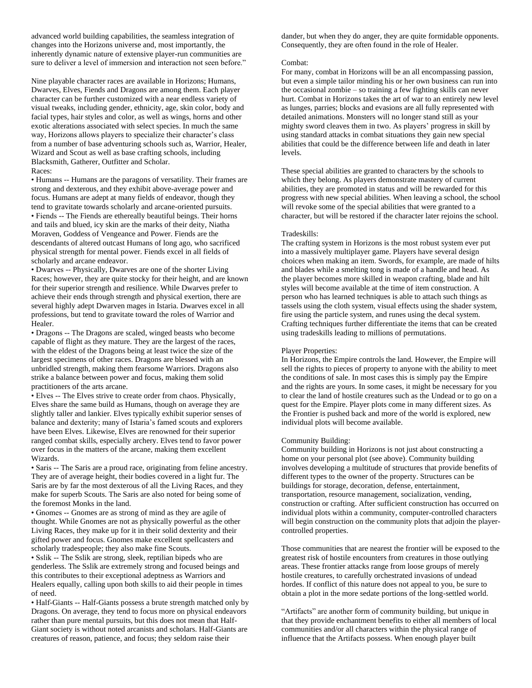advanced world building capabilities, the seamless integration of changes into the Horizons universe and, most importantly, the inherently dynamic nature of extensive player-run communities are sure to deliver a level of immersion and interaction not seen before."

Nine playable character races are available in Horizons; Humans, Dwarves, Elves, Fiends and Dragons are among them. Each player character can be further customized with a near endless variety of visual tweaks, including gender, ethnicity, age, skin color, body and facial types, hair styles and color, as well as wings, horns and other exotic alterations associated with select species. In much the same way, Horizons allows players to specialize their character's class from a number of base adventuring schools such as, Warrior, Healer, Wizard and Scout as well as base crafting schools, including Blacksmith, Gatherer, Outfitter and Scholar. Races:

• Humans -- Humans are the paragons of versatility. Their frames are strong and dexterous, and they exhibit above-average power and focus. Humans are adept at many fields of endeavor, though they tend to gravitate towards scholarly and arcane-oriented pursuits. • Fiends -- The Fiends are ethereally beautiful beings. Their horns and tails and blued, icy skin are the marks of their deity, Niatha Moraven, Goddess of Vengeance and Power. Fiends are the descendants of altered outcast Humans of long ago, who sacrificed physical strength for mental power. Fiends excel in all fields of scholarly and arcane endeavor.

• Dwarves -- Physically, Dwarves are one of the shorter Living Races; however, they are quite stocky for their height, and are known for their superior strength and resilience. While Dwarves prefer to achieve their ends through strength and physical exertion, there are several highly adept Dwarven mages in Istaria. Dwarves excel in all professions, but tend to gravitate toward the roles of Warrior and Healer.

• Dragons -- The Dragons are scaled, winged beasts who become capable of flight as they mature. They are the largest of the races, with the eldest of the Dragons being at least twice the size of the largest specimens of other races. Dragons are blessed with an unbridled strength, making them fearsome Warriors. Dragons also strike a balance between power and focus, making them solid practitioners of the arts arcane.

• Elves -- The Elves strive to create order from chaos. Physically, Elves share the same build as Humans, though on average they are slightly taller and lankier. Elves typically exhibit superior senses of balance and dexterity; many of Istaria's famed scouts and explorers have been Elves. Likewise, Elves are renowned for their superior ranged combat skills, especially archery. Elves tend to favor power over focus in the matters of the arcane, making them excellent Wizards.

• Saris -- The Saris are a proud race, originating from feline ancestry. They are of average height, their bodies covered in a light fur. The Saris are by far the most dexterous of all the Living Races, and they make for superb Scouts. The Saris are also noted for being some of the foremost Monks in the land.

• Gnomes -- Gnomes are as strong of mind as they are agile of thought. While Gnomes are not as physically powerful as the other Living Races, they make up for it in their solid dexterity and their gifted power and focus. Gnomes make excellent spellcasters and scholarly tradespeople; they also make fine Scouts.

• Sslik -- The Sslik are strong, sleek, reptilian bipeds who are genderless. The Sslik are extremely strong and focused beings and this contributes to their exceptional adeptness as Warriors and Healers equally, calling upon both skills to aid their people in times of need.

• Half-Giants -- Half-Giants possess a brute strength matched only by Dragons. On average, they tend to focus more on physical endeavors rather than pure mental pursuits, but this does not mean that Half-Giant society is without noted arcanists and scholars. Half-Giants are creatures of reason, patience, and focus; they seldom raise their

dander, but when they do anger, they are quite formidable opponents. Consequently, they are often found in the role of Healer.

# Combat:

For many, combat in Horizons will be an all encompassing passion, but even a simple tailor minding his or her own business can run into the occasional zombie – so training a few fighting skills can never hurt. Combat in Horizons takes the art of war to an entirely new level as lunges, parries; blocks and evasions are all fully represented with detailed animations. Monsters will no longer stand still as your mighty sword cleaves them in two. As players' progress in skill by using standard attacks in combat situations they gain new special abilities that could be the difference between life and death in later levels.

These special abilities are granted to characters by the schools to which they belong. As players demonstrate mastery of current abilities, they are promoted in status and will be rewarded for this progress with new special abilities. When leaving a school, the school will revoke some of the special abilities that were granted to a character, but will be restored if the character later rejoins the school.

## Tradeskills:

The crafting system in Horizons is the most robust system ever put into a massively multiplayer game. Players have several design choices when making an item. Swords, for example, are made of hilts and blades while a smelting tong is made of a handle and head. As the player becomes more skilled in weapon crafting, blade and hilt styles will become available at the time of item construction. A person who has learned techniques is able to attach such things as tassels using the cloth system, visual effects using the shader system, fire using the particle system, and runes using the decal system. Crafting techniques further differentiate the items that can be created using tradeskills leading to millions of permutations.

## Player Properties:

In Horizons, the Empire controls the land. However, the Empire will sell the rights to pieces of property to anyone with the ability to meet the conditions of sale. In most cases this is simply pay the Empire and the rights are yours. In some cases, it might be necessary for you to clear the land of hostile creatures such as the Undead or to go on a quest for the Empire. Player plots come in many different sizes. As the Frontier is pushed back and more of the world is explored, new individual plots will become available.

### Community Building:

Community building in Horizons is not just about constructing a home on your personal plot (see above). Community building involves developing a multitude of structures that provide benefits of different types to the owner of the property. Structures can be buildings for storage, decoration, defense, entertainment, transportation, resource management, socialization, vending, construction or crafting. After sufficient construction has occurred on individual plots within a community, computer-controlled characters will begin construction on the community plots that adjoin the playercontrolled properties.

Those communities that are nearest the frontier will be exposed to the greatest risk of hostile encounters from creatures in those outlying areas. These frontier attacks range from loose groups of merely hostile creatures, to carefully orchestrated invasions of undead hordes. If conflict of this nature does not appeal to you, be sure to obtain a plot in the more sedate portions of the long-settled world.

"Artifacts" are another form of community building, but unique in that they provide enchantment benefits to either all members of local communities and/or all characters within the physical range of influence that the Artifacts possess. When enough player built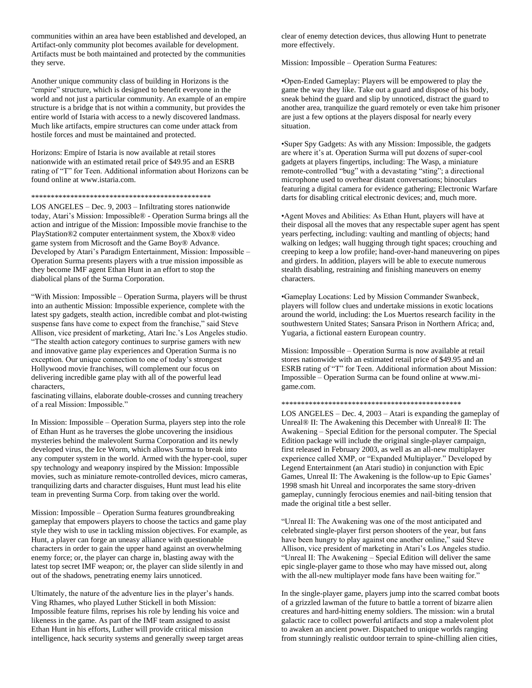communities within an area have been established and developed, an Artifact-only community plot becomes available for development. Artifacts must be both maintained and protected by the communities they serve.

Another unique community class of building in Horizons is the "empire" structure, which is designed to benefit everyone in the world and not just a particular community. An example of an empire structure is a bridge that is not within a community, but provides the entire world of Istaria with access to a newly discovered landmass. Much like artifacts, empire structures can come under attack from hostile forces and must be maintained and protected.

Horizons: Empire of Istaria is now available at retail stores nationwide with an estimated retail price of \$49.95 and an ESRB rating of "T" for Teen. Additional information about Horizons can be found online at www.istaria.com.

#### \*\*\*\*\*\*\*\*\*\*\*\*\*\*\*\*\*\*\*\*\*\*\*\*\*\*\*\*\*\*\*\*\*\*\*\*\*\*\*\*\*\*\*\*\*\*

LOS ANGELES – Dec. 9, 2003 – Infiltrating stores nationwide today, Atari's Mission: Impossible® - Operation Surma brings all the action and intrigue of the Mission: Impossible movie franchise to the PlayStation®2 computer entertainment system, the Xbox® video game system from Microsoft and the Game Boy® Advance. Developed by Atari's Paradigm Entertainment, Mission: Impossible – Operation Surma presents players with a true mission impossible as they become IMF agent Ethan Hunt in an effort to stop the diabolical plans of the Surma Corporation.

"With Mission: Impossible – Operation Surma, players will be thrust into an authentic Mission: Impossible experience, complete with the latest spy gadgets, stealth action, incredible combat and plot-twisting suspense fans have come to expect from the franchise," said Steve Allison, vice president of marketing, Atari Inc.'s Los Angeles studio. "The stealth action category continues to surprise gamers with new and innovative game play experiences and Operation Surma is no exception. Our unique connection to one of today's strongest Hollywood movie franchises, will complement our focus on delivering incredible game play with all of the powerful lead characters,

fascinating villains, elaborate double-crosses and cunning treachery of a real Mission: Impossible."

In Mission: Impossible – Operation Surma, players step into the role of Ethan Hunt as he traverses the globe uncovering the insidious mysteries behind the malevolent Surma Corporation and its newly developed virus, the Ice Worm, which allows Surma to break into any computer system in the world. Armed with the hyper-cool, super spy technology and weaponry inspired by the Mission: Impossible movies, such as miniature remote-controlled devices, micro cameras, tranquilizing darts and character disguises, Hunt must lead his elite team in preventing Surma Corp. from taking over the world.

Mission: Impossible – Operation Surma features groundbreaking gameplay that empowers players to choose the tactics and game play style they wish to use in tackling mission objectives. For example, as Hunt, a player can forge an uneasy alliance with questionable characters in order to gain the upper hand against an overwhelming enemy force; or, the player can charge in, blasting away with the latest top secret IMF weapon; or, the player can slide silently in and out of the shadows, penetrating enemy lairs unnoticed.

Ultimately, the nature of the adventure lies in the player's hands. Ving Rhames, who played Luther Stickell in both Mission: Impossible feature films, reprises his role by lending his voice and likeness in the game. As part of the IMF team assigned to assist Ethan Hunt in his efforts, Luther will provide critical mission intelligence, hack security systems and generally sweep target areas clear of enemy detection devices, thus allowing Hunt to penetrate more effectively.

Mission: Impossible – Operation Surma Features:

•Open-Ended Gameplay: Players will be empowered to play the game the way they like. Take out a guard and dispose of his body, sneak behind the guard and slip by unnoticed, distract the guard to another area, tranquilize the guard remotely or even take him prisoner are just a few options at the players disposal for nearly every situation.

•Super Spy Gadgets: As with any Mission: Impossible, the gadgets are where it's at. Operation Surma will put dozens of super-cool gadgets at players fingertips, including: The Wasp, a miniature remote-controlled "bug" with a devastating "sting"; a directional microphone used to overhear distant conversations; binoculars featuring a digital camera for evidence gathering; Electronic Warfare darts for disabling critical electronic devices; and, much more.

•Agent Moves and Abilities: As Ethan Hunt, players will have at their disposal all the moves that any respectable super agent has spent years perfecting, including: vaulting and mantling of objects; hand walking on ledges; wall hugging through tight spaces; crouching and creeping to keep a low profile; hand-over-hand maneuvering on pipes and girders. In addition, players will be able to execute numerous stealth disabling, restraining and finishing maneuvers on enemy characters.

•Gameplay Locations: Led by Mission Commander Swanbeck, players will follow clues and undertake missions in exotic locations around the world, including: the Los Muertos research facility in the southwestern United States; Sansara Prison in Northern Africa; and, Yugaria, a fictional eastern European country.

Mission: Impossible – Operation Surma is now available at retail stores nationwide with an estimated retail price of \$49.95 and an ESRB rating of "T" for Teen. Additional information about Mission: Impossible – Operation Surma can be found online at www.migame.com.

#### \*\*\*\*\*\*\*\*\*\*\*\*\*\*\*\*\*\*\*\*\*\*\*\*\*\*\*\*\*\*\*\*\*\*\*\*\*\*\*\*\*\*\*\*\*\*

LOS ANGELES – Dec. 4, 2003 – Atari is expanding the gameplay of Unreal® II: The Awakening this December with Unreal® II: The Awakening – Special Edition for the personal computer. The Special Edition package will include the original single-player campaign, first released in February 2003, as well as an all-new multiplayer experience called XMP, or "Expanded Multiplayer." Developed by Legend Entertainment (an Atari studio) in conjunction with Epic Games, Unreal II: The Awakening is the follow-up to Epic Games' 1998 smash hit Unreal and incorporates the same story-driven gameplay, cunningly ferocious enemies and nail-biting tension that made the original title a best seller.

"Unreal II: The Awakening was one of the most anticipated and celebrated single-player first person shooters of the year, but fans have been hungry to play against one another online," said Steve Allison, vice president of marketing in Atari's Los Angeles studio. "Unreal II: The Awakening – Special Edition will deliver the same epic single-player game to those who may have missed out, along with the all-new multiplayer mode fans have been waiting for."

In the single-player game, players jump into the scarred combat boots of a grizzled lawman of the future to battle a torrent of bizarre alien creatures and hard-hitting enemy soldiers. The mission: win a brutal galactic race to collect powerful artifacts and stop a malevolent plot to awaken an ancient power. Dispatched to unique worlds ranging from stunningly realistic outdoor terrain to spine-chilling alien cities,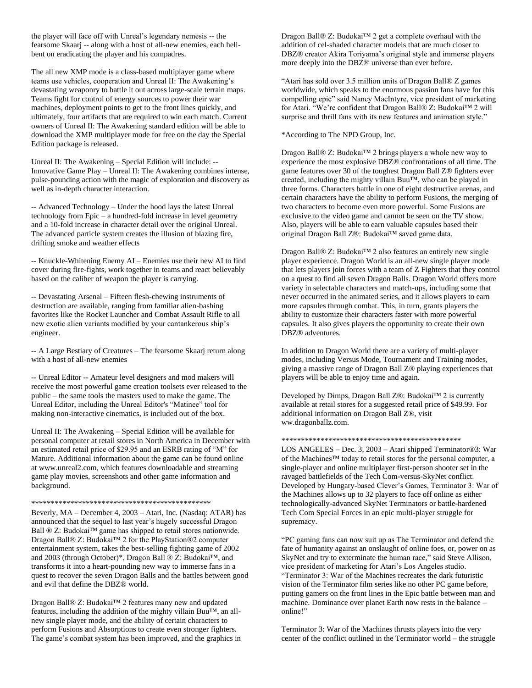the player will face off with Unreal's legendary nemesis -- the fearsome Skaarj -- along with a host of all-new enemies, each hellbent on eradicating the player and his compadres.

The all new XMP mode is a class-based multiplayer game where teams use vehicles, cooperation and Unreal II: The Awakening's devastating weaponry to battle it out across large-scale terrain maps. Teams fight for control of energy sources to power their war machines, deployment points to get to the front lines quickly, and ultimately, four artifacts that are required to win each match. Current owners of Unreal II: The Awakening standard edition will be able to download the XMP multiplayer mode for free on the day the Special Edition package is released.

Unreal II: The Awakening – Special Edition will include: -- Innovative Game Play – Unreal II: The Awakening combines intense, pulse-pounding action with the magic of exploration and discovery as well as in-depth character interaction.

-- Advanced Technology – Under the hood lays the latest Unreal technology from Epic – a hundred-fold increase in level geometry and a 10-fold increase in character detail over the original Unreal. The advanced particle system creates the illusion of blazing fire, drifting smoke and weather effects

-- Knuckle-Whitening Enemy AI – Enemies use their new AI to find cover during fire-fights, work together in teams and react believably based on the caliber of weapon the player is carrying.

-- Devastating Arsenal – Fifteen flesh-chewing instruments of destruction are available, ranging from familiar alien-bashing favorites like the Rocket Launcher and Combat Assault Rifle to all new exotic alien variants modified by your cantankerous ship's engineer.

-- A Large Bestiary of Creatures – The fearsome Skaarj return along with a host of all-new enemies

-- Unreal Editor -- Amateur level designers and mod makers will receive the most powerful game creation toolsets ever released to the public – the same tools the masters used to make the game. The Unreal Editor, including the Unreal Editor's "Matinee" tool for making non-interactive cinematics, is included out of the box.

Unreal II: The Awakening – Special Edition will be available for personal computer at retail stores in North America in December with an estimated retail price of \$29.95 and an ESRB rating of "M" for Mature. Additional information about the game can be found online at www.unreal2.com, which features downloadable and streaming game play movies, screenshots and other game information and background.

## \*\*\*\*\*\*\*\*\*\*\*\*\*\*\*\*\*\*\*\*\*\*\*\*\*\*\*\*\*\*\*\*\*\*\*\*\*\*\*\*\*\*\*\*\*\*

Beverly, MA – December 4, 2003 – Atari, Inc. (Nasdaq: ATAR) has announced that the sequel to last year's hugely successful Dragon Ball ® Z: Budokai™ game has shipped to retail stores nationwide. Dragon Ball® Z: Budokai™ 2 for the PlayStation®2 computer entertainment system, takes the best-selling fighting game of 2002 and 2003 (through October)\*, Dragon Ball ® Z: Budokai™, and transforms it into a heart-pounding new way to immerse fans in a quest to recover the seven Dragon Balls and the battles between good and evil that define the DBZ® world.

Dragon Ball® Z: Budokai™ 2 features many new and updated features, including the addition of the mighty villain Buu™, an allnew single player mode, and the ability of certain characters to perform Fusions and Absorptions to create even stronger fighters. The game's combat system has been improved, and the graphics in Dragon Ball® Z: Budokai™ 2 get a complete overhaul with the addition of cel-shaded character models that are much closer to DBZ® creator Akira Toriyama's original style and immerse players more deeply into the DBZ® universe than ever before.

"Atari has sold over 3.5 million units of Dragon Ball® Z games worldwide, which speaks to the enormous passion fans have for this compelling epic" said Nancy MacIntyre, vice president of marketing for Atari. "We're confident that Dragon Ball® Z: Budokai™ 2 will surprise and thrill fans with its new features and animation style."

\*According to The NPD Group, Inc.

Dragon Ball® Z: Budokai™ 2 brings players a whole new way to experience the most explosive DBZ® confrontations of all time. The game features over 30 of the toughest Dragon Ball Z® fighters ever created, including the mighty villain Buu™, who can be played in three forms. Characters battle in one of eight destructive arenas, and certain characters have the ability to perform Fusions, the merging of two characters to become even more powerful. Some Fusions are exclusive to the video game and cannot be seen on the TV show. Also, players will be able to earn valuable capsules based their original Dragon Ball Z®: Budokai™ saved game data.

Dragon Ball® Z: Budokai™ 2 also features an entirely new single player experience. Dragon World is an all-new single player mode that lets players join forces with a team of Z Fighters that they control on a quest to find all seven Dragon Balls. Dragon World offers more variety in selectable characters and match-ups, including some that never occurred in the animated series, and it allows players to earn more capsules through combat. This, in turn, grants players the ability to customize their characters faster with more powerful capsules. It also gives players the opportunity to create their own DBZ® adventures.

In addition to Dragon World there are a variety of multi-player modes, including Versus Mode, Tournament and Training modes, giving a massive range of Dragon Ball Z® playing experiences that players will be able to enjoy time and again.

Developed by Dimps, Dragon Ball Z®: Budokai™ 2 is currently available at retail stores for a suggested retail price of \$49.99. For additional information on Dragon Ball Z®, visit ww.dragonballz.com.

# \*\*\*\*\*\*\*\*\*\*\*\*\*\*\*\*\*\*\*\*\*\*\*\*\*\*\*\*\*\*\*\*\*\*\*\*\*\*\*\*\*\*\*\*\*\*

LOS ANGELES – Dec. 3, 2003 – Atari shipped Terminator®3: War of the Machines™ today to retail stores for the personal computer, a single-player and online multiplayer first-person shooter set in the ravaged battlefields of the Tech Com-versus-SkyNet conflict. Developed by Hungary-based Clever's Games, Terminator 3: War of the Machines allows up to 32 players to face off online as either technologically-advanced SkyNet Terminators or battle-hardened Tech Com Special Forces in an epic multi-player struggle for supremacy.

"PC gaming fans can now suit up as The Terminator and defend the fate of humanity against an onslaught of online foes, or, power on as SkyNet and try to exterminate the human race," said Steve Allison, vice president of marketing for Atari's Los Angeles studio. "Terminator 3: War of the Machines recreates the dark futuristic vision of the Terminator film series like no other PC game before, putting gamers on the front lines in the Epic battle between man and machine. Dominance over planet Earth now rests in the balance – online!"

Terminator 3: War of the Machines thrusts players into the very center of the conflict outlined in the Terminator world – the struggle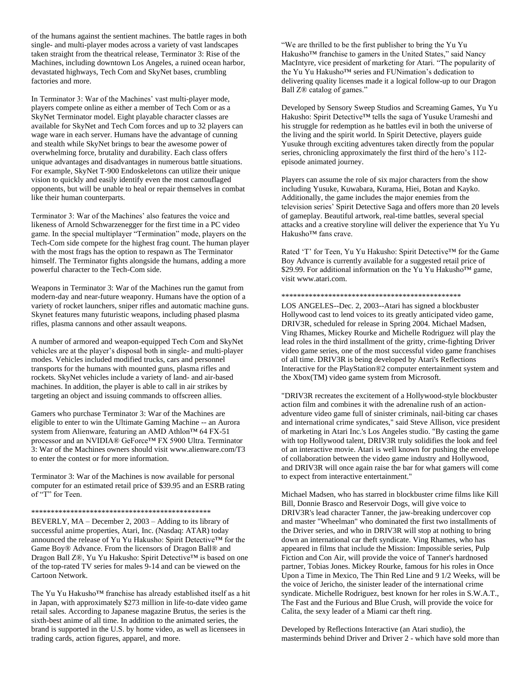of the humans against the sentient machines. The battle rages in both single- and multi-player modes across a variety of vast landscapes taken straight from the theatrical release, Terminator 3: Rise of the Machines, including downtown Los Angeles, a ruined ocean harbor, devastated highways, Tech Com and SkyNet bases, crumbling factories and more.

In Terminator 3: War of the Machines' vast multi-player mode, players compete online as either a member of Tech Com or as a SkyNet Terminator model. Eight playable character classes are available for SkyNet and Tech Com forces and up to 32 players can wage ware in each server. Humans have the advantage of cunning and stealth while SkyNet brings to bear the awesome power of overwhelming force, brutality and durability. Each class offers unique advantages and disadvantages in numerous battle situations. For example, SkyNet T-900 Endoskeletons can utilize their unique vision to quickly and easily identify even the most camouflaged opponents, but will be unable to heal or repair themselves in combat like their human counterparts.

Terminator 3: War of the Machines' also features the voice and likeness of Arnold Schwarzenegger for the first time in a PC video game. In the special multiplayer "Termination" mode, players on the Tech-Com side compete for the highest frag count. The human player with the most frags has the option to respawn as The Terminator himself. The Terminator fights alongside the humans, adding a more powerful character to the Tech-Com side.

Weapons in Terminator 3: War of the Machines run the gamut from modern-day and near-future weaponry. Humans have the option of a variety of rocket launchers, sniper rifles and automatic machine guns. Skynet features many futuristic weapons, including phased plasma rifles, plasma cannons and other assault weapons.

A number of armored and weapon-equipped Tech Com and SkyNet vehicles are at the player's disposal both in single- and multi-player modes. Vehicles included modified trucks, cars and personnel transports for the humans with mounted guns, plasma rifles and rockets. SkyNet vehicles include a variety of land- and air-based machines. In addition, the player is able to call in air strikes by targeting an object and issuing commands to offscreen allies.

Gamers who purchase Terminator 3: War of the Machines are eligible to enter to win the Ultimate Gaming Machine -- an Aurora system from Alienware, featuring an AMD Athlon™ 64 FX-51 processor and an NVIDIA® GeForce™ FX 5900 Ultra. Terminator 3: War of the Machines owners should visit www.alienware.com/T3 to enter the contest or for more information.

Terminator 3: War of the Machines is now available for personal computer for an estimated retail price of \$39.95 and an ESRB rating of "T" for Teen.

#### \*\*\*\*\*\*\*\*\*\*\*\*\*\*\*\*\*\*\*\*\*\*\*\*\*\*\*\*\*\*\*\*\*\*\*\*\*\*\*\*\*\*\*\*\*\*

BEVERLY, MA – December 2, 2003 – Adding to its library of successful anime properties, Atari, Inc. (Nasdaq: ATAR) today announced the release of Yu Yu Hakusho: Spirit Detective™ for the Game Boy® Advance. From the licensors of Dragon Ball® and Dragon Ball Z®, Yu Yu Hakusho: Spirit Detective™ is based on one of the top-rated TV series for males 9-14 and can be viewed on the Cartoon Network.

The Yu Yu Hakusho™ franchise has already established itself as a hit in Japan, with approximately \$273 million in life-to-date video game retail sales. According to Japanese magazine Brutus, the series is the sixth-best anime of all time. In addition to the animated series, the brand is supported in the U.S. by home video, as well as licensees in trading cards, action figures, apparel, and more.

"We are thrilled to be the first publisher to bring the Yu Yu Hakusho™ franchise to gamers in the United States," said Nancy MacIntyre, vice president of marketing for Atari. "The popularity of the Yu Yu Hakusho™ series and FUNimation's dedication to delivering quality licenses made it a logical follow-up to our Dragon Ball Z® catalog of games."

Developed by Sensory Sweep Studios and Screaming Games, Yu Yu Hakusho: Spirit Detective™ tells the saga of Yusuke Urameshi and his struggle for redemption as he battles evil in both the universe of the living and the spirit world. In Spirit Detective, players guide Yusuke through exciting adventures taken directly from the popular series, chronicling approximately the first third of the hero's 112 episode animated journey.

Players can assume the role of six major characters from the show including Yusuke, Kuwabara, Kurama, Hiei, Botan and Kayko. Additionally, the game includes the major enemies from the television series' Spirit Detective Saga and offers more than 20 levels of gameplay. Beautiful artwork, real-time battles, several special attacks and a creative storyline will deliver the experience that Yu Yu Hakusho™ fans crave.

Rated 'T' for Teen, Yu Yu Hakusho: Spirit Detective™ for the Game Boy Advance is currently available for a suggested retail price of \$29.99. For additional information on the Yu Yu Hakusho™ game, visit www.atari.com.

### \*\*\*\*\*\*\*\*\*\*\*\*\*\*\*\*\*\*\*\*\*\*\*\*\*\*\*\*\*\*\*\*\*\*\*\*\*\*\*\*\*\*\*\*\*\*

LOS ANGELES--Dec. 2, 2003--Atari has signed a blockbuster Hollywood cast to lend voices to its greatly anticipated video game, DRIV3R, scheduled for release in Spring 2004. Michael Madsen, Ving Rhames, Mickey Rourke and Michelle Rodriguez will play the lead roles in the third installment of the gritty, crime-fighting Driver video game series, one of the most successful video game franchises of all time. DRIV3R is being developed by Atari's Reflections Interactive for the PlayStation®2 computer entertainment system and the Xbox(TM) video game system from Microsoft.

"DRIV3R recreates the excitement of a Hollywood-style blockbuster action film and combines it with the adrenaline rush of an actionadventure video game full of sinister criminals, nail-biting car chases and international crime syndicates," said Steve Allison, vice president of marketing in Atari Inc.'s Los Angeles studio. "By casting the game with top Hollywood talent, DRIV3R truly solidifies the look and feel of an interactive movie. Atari is well known for pushing the envelope of collaboration between the video game industry and Hollywood, and DRIV3R will once again raise the bar for what gamers will come to expect from interactive entertainment."

Michael Madsen, who has starred in blockbuster crime films like Kill Bill, Donnie Brasco and Reservoir Dogs, will give voice to DRIV3R's lead character Tanner, the jaw-breaking undercover cop and master "Wheelman" who dominated the first two installments of the Driver series, and who in DRIV3R will stop at nothing to bring down an international car theft syndicate. Ving Rhames, who has appeared in films that include the Mission: Impossible series, Pulp Fiction and Con Air, will provide the voice of Tanner's hardnosed partner, Tobias Jones. Mickey Rourke, famous for his roles in Once Upon a Time in Mexico, The Thin Red Line and 9 1/2 Weeks, will be the voice of Jericho, the sinister leader of the international crime syndicate. Michelle Rodriguez, best known for her roles in S.W.A.T., The Fast and the Furious and Blue Crush, will provide the voice for Calita, the sexy leader of a Miami car theft ring.

Developed by Reflections Interactive (an Atari studio), the masterminds behind Driver and Driver 2 - which have sold more than